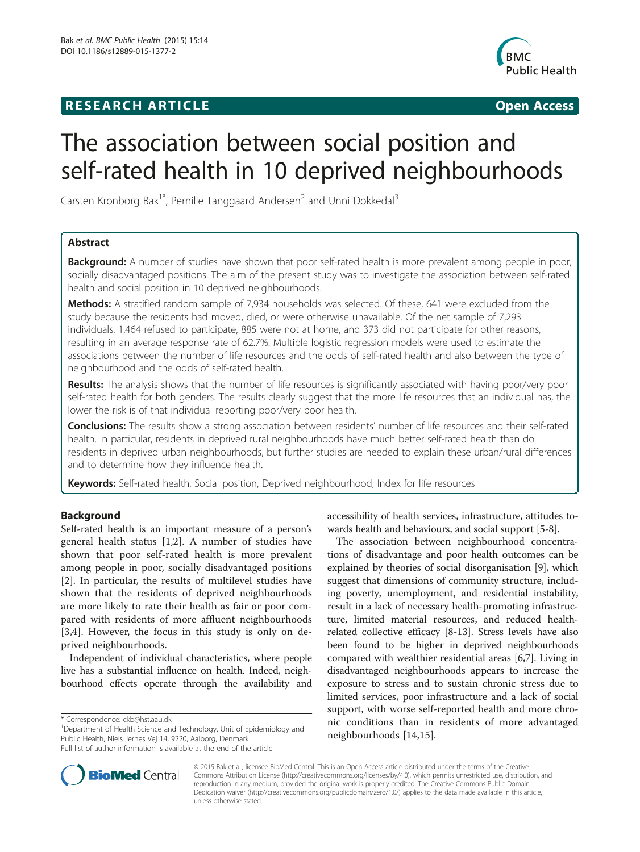# **RESEARCH ARTICLE Example 2014 12:30 The SEAR CHIPS 2014 12:30 The Open Access**



# The association between social position and self-rated health in 10 deprived neighbourhoods

Carsten Kronborg Bak<sup>1\*</sup>, Pernille Tanggaard Andersen<sup>2</sup> and Unni Dokkedal<sup>3</sup>

# Abstract

**Background:** A number of studies have shown that poor self-rated health is more prevalent among people in poor, socially disadvantaged positions. The aim of the present study was to investigate the association between self-rated health and social position in 10 deprived neighbourhoods.

Methods: A stratified random sample of 7,934 households was selected. Of these, 641 were excluded from the study because the residents had moved, died, or were otherwise unavailable. Of the net sample of 7,293 individuals, 1,464 refused to participate, 885 were not at home, and 373 did not participate for other reasons, resulting in an average response rate of 62.7%. Multiple logistic regression models were used to estimate the associations between the number of life resources and the odds of self-rated health and also between the type of neighbourhood and the odds of self-rated health.

Results: The analysis shows that the number of life resources is significantly associated with having poor/very poor self-rated health for both genders. The results clearly suggest that the more life resources that an individual has, the lower the risk is of that individual reporting poor/very poor health.

**Conclusions:** The results show a strong association between residents' number of life resources and their self-rated health. In particular, residents in deprived rural neighbourhoods have much better self-rated health than do residents in deprived urban neighbourhoods, but further studies are needed to explain these urban/rural differences and to determine how they influence health.

Keywords: Self-rated health, Social position, Deprived neighbourhood, Index for life resources

# Background

Self-rated health is an important measure of a person's general health status [[1,2](#page-6-0)]. A number of studies have shown that poor self-rated health is more prevalent among people in poor, socially disadvantaged positions [[2\]](#page-6-0). In particular, the results of multilevel studies have shown that the residents of deprived neighbourhoods are more likely to rate their health as fair or poor compared with residents of more affluent neighbourhoods [[3,4](#page-6-0)]. However, the focus in this study is only on deprived neighbourhoods.

Independent of individual characteristics, where people live has a substantial influence on health. Indeed, neighbourhood effects operate through the availability and

<sup>1</sup>Department of Health Science and Technology, Unit of Epidemiology and Public Health, Niels Jernes Vej 14, 9220, Aalborg, Denmark Full list of author information is available at the end of the article

accessibility of health services, infrastructure, attitudes towards health and behaviours, and social support [[5](#page-6-0)-[8\]](#page-6-0).

The association between neighbourhood concentrations of disadvantage and poor health outcomes can be explained by theories of social disorganisation [[9\]](#page-6-0), which suggest that dimensions of community structure, including poverty, unemployment, and residential instability, result in a lack of necessary health-promoting infrastructure, limited material resources, and reduced healthrelated collective efficacy [\[8](#page-6-0)-[13](#page-6-0)]. Stress levels have also been found to be higher in deprived neighbourhoods compared with wealthier residential areas [[6,7\]](#page-6-0). Living in disadvantaged neighbourhoods appears to increase the exposure to stress and to sustain chronic stress due to limited services, poor infrastructure and a lack of social support, with worse self-reported health and more chronic conditions than in residents of more advantaged neighbourhoods [\[14](#page-6-0),[15\]](#page-6-0).



© 2015 Bak et al.; licensee BioMed Central. This is an Open Access article distributed under the terms of the Creative Commons Attribution License [\(http://creativecommons.org/licenses/by/4.0\)](http://creativecommons.org/licenses/by/4.0), which permits unrestricted use, distribution, and reproduction in any medium, provided the original work is properly credited. The Creative Commons Public Domain Dedication waiver [\(http://creativecommons.org/publicdomain/zero/1.0/](http://creativecommons.org/publicdomain/zero/1.0/)) applies to the data made available in this article, unless otherwise stated.

<sup>\*</sup> Correspondence: [ckb@hst.aau.dk](mailto:ckb@hst.aau.dk) <sup>1</sup>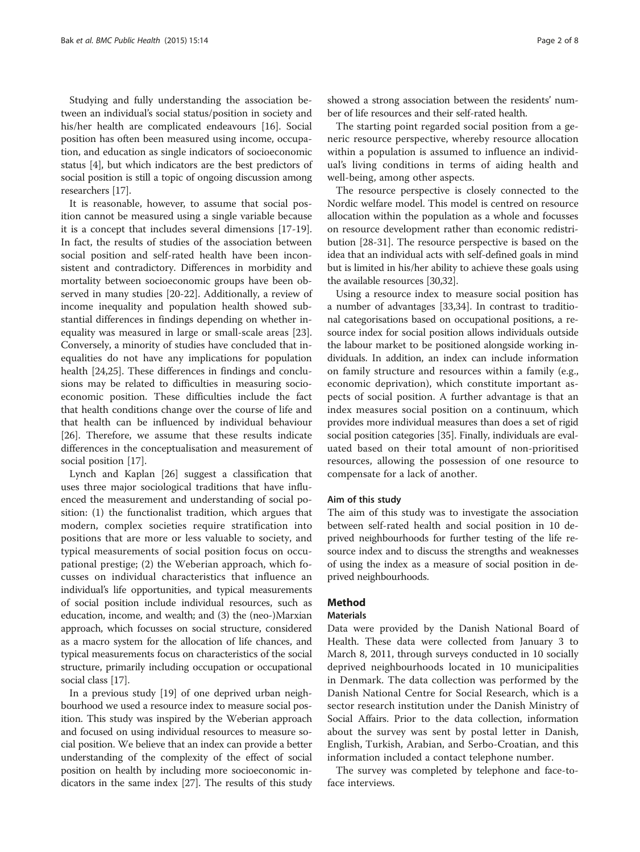Studying and fully understanding the association between an individual's social status/position in society and his/her health are complicated endeavours [\[16](#page-6-0)]. Social position has often been measured using income, occupation, and education as single indicators of socioeconomic status [\[4](#page-6-0)], but which indicators are the best predictors of social position is still a topic of ongoing discussion among researchers [\[17\]](#page-7-0).

It is reasonable, however, to assume that social position cannot be measured using a single variable because it is a concept that includes several dimensions [\[17-19](#page-7-0)]. In fact, the results of studies of the association between social position and self-rated health have been inconsistent and contradictory. Differences in morbidity and mortality between socioeconomic groups have been observed in many studies [[20-22\]](#page-7-0). Additionally, a review of income inequality and population health showed substantial differences in findings depending on whether inequality was measured in large or small-scale areas [\[23](#page-7-0)]. Conversely, a minority of studies have concluded that inequalities do not have any implications for population health [\[24,25](#page-7-0)]. These differences in findings and conclusions may be related to difficulties in measuring socioeconomic position. These difficulties include the fact that health conditions change over the course of life and that health can be influenced by individual behaviour [[26\]](#page-7-0). Therefore, we assume that these results indicate differences in the conceptualisation and measurement of social position [\[17](#page-7-0)].

Lynch and Kaplan [\[26\]](#page-7-0) suggest a classification that uses three major sociological traditions that have influenced the measurement and understanding of social position: (1) the functionalist tradition, which argues that modern, complex societies require stratification into positions that are more or less valuable to society, and typical measurements of social position focus on occupational prestige; (2) the Weberian approach, which focusses on individual characteristics that influence an individual's life opportunities, and typical measurements of social position include individual resources, such as education, income, and wealth; and (3) the (neo-)Marxian approach, which focusses on social structure, considered as a macro system for the allocation of life chances, and typical measurements focus on characteristics of the social structure, primarily including occupation or occupational social class [[17\]](#page-7-0).

In a previous study [\[19\]](#page-7-0) of one deprived urban neighbourhood we used a resource index to measure social position. This study was inspired by the Weberian approach and focused on using individual resources to measure social position. We believe that an index can provide a better understanding of the complexity of the effect of social position on health by including more socioeconomic indicators in the same index [\[27\]](#page-7-0). The results of this study

showed a strong association between the residents' number of life resources and their self-rated health.

The starting point regarded social position from a generic resource perspective, whereby resource allocation within a population is assumed to influence an individual's living conditions in terms of aiding health and well-being, among other aspects.

The resource perspective is closely connected to the Nordic welfare model. This model is centred on resource allocation within the population as a whole and focusses on resource development rather than economic redistribution [[28-31\]](#page-7-0). The resource perspective is based on the idea that an individual acts with self-defined goals in mind but is limited in his/her ability to achieve these goals using the available resources [\[30,32](#page-7-0)].

Using a resource index to measure social position has a number of advantages [\[33,34](#page-7-0)]. In contrast to traditional categorisations based on occupational positions, a resource index for social position allows individuals outside the labour market to be positioned alongside working individuals. In addition, an index can include information on family structure and resources within a family (e.g., economic deprivation), which constitute important aspects of social position. A further advantage is that an index measures social position on a continuum, which provides more individual measures than does a set of rigid social position categories [\[35\]](#page-7-0). Finally, individuals are evaluated based on their total amount of non-prioritised resources, allowing the possession of one resource to compensate for a lack of another.

#### Aim of this study

The aim of this study was to investigate the association between self-rated health and social position in 10 deprived neighbourhoods for further testing of the life resource index and to discuss the strengths and weaknesses of using the index as a measure of social position in deprived neighbourhoods.

# Method

#### **Materials**

Data were provided by the Danish National Board of Health. These data were collected from January 3 to March 8, 2011, through surveys conducted in 10 socially deprived neighbourhoods located in 10 municipalities in Denmark. The data collection was performed by the Danish National Centre for Social Research, which is a sector research institution under the Danish Ministry of Social Affairs. Prior to the data collection, information about the survey was sent by postal letter in Danish, English, Turkish, Arabian, and Serbo-Croatian, and this information included a contact telephone number.

The survey was completed by telephone and face-toface interviews.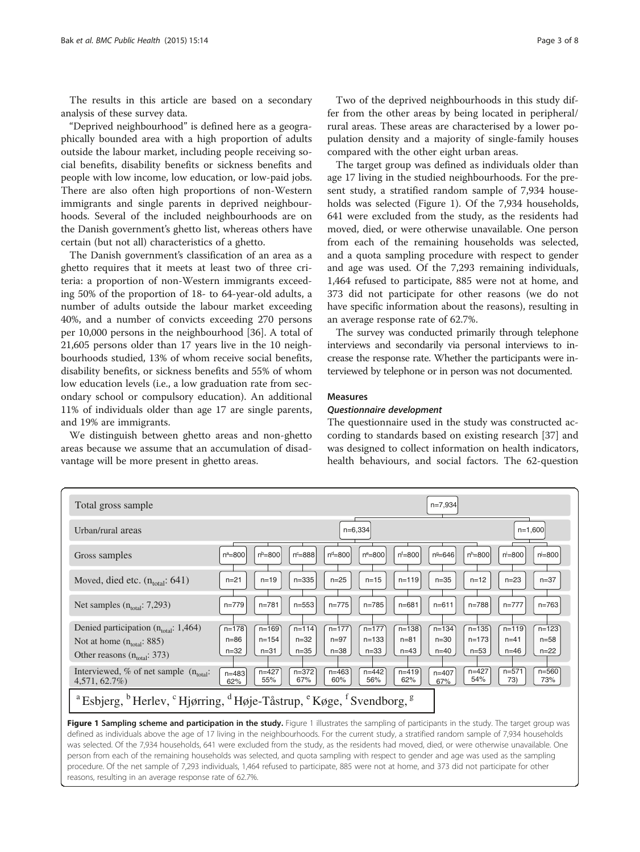The results in this article are based on a secondary analysis of these survey data.

"Deprived neighbourhood" is defined here as a geographically bounded area with a high proportion of adults outside the labour market, including people receiving social benefits, disability benefits or sickness benefits and people with low income, low education, or low-paid jobs. There are also often high proportions of non-Western immigrants and single parents in deprived neighbourhoods. Several of the included neighbourhoods are on the Danish government's ghetto list, whereas others have certain (but not all) characteristics of a ghetto.

The Danish government's classification of an area as a ghetto requires that it meets at least two of three criteria: a proportion of non-Western immigrants exceeding 50% of the proportion of 18- to 64-year-old adults, a number of adults outside the labour market exceeding 40%, and a number of convicts exceeding 270 persons per 10,000 persons in the neighbourhood [[36\]](#page-7-0). A total of 21,605 persons older than 17 years live in the 10 neighbourhoods studied, 13% of whom receive social benefits, disability benefits, or sickness benefits and 55% of whom low education levels (i.e., a low graduation rate from secondary school or compulsory education). An additional 11% of individuals older than age 17 are single parents, and 19% are immigrants.

We distinguish between ghetto areas and non-ghetto areas because we assume that an accumulation of disadvantage will be more present in ghetto areas.

The target group was defined as individuals older than age 17 living in the studied neighbourhoods. For the present study, a stratified random sample of 7,934 households was selected (Figure 1). Of the 7,934 households, 641 were excluded from the study, as the residents had moved, died, or were otherwise unavailable. One person from each of the remaining households was selected, and a quota sampling procedure with respect to gender and age was used. Of the 7,293 remaining individuals, 1,464 refused to participate, 885 were not at home, and 373 did not participate for other reasons (we do not have specific information about the reasons), resulting in an average response rate of 62.7%.

The survey was conducted primarily through telephone interviews and secondarily via personal interviews to increase the response rate. Whether the participants were interviewed by telephone or in person was not documented.

#### Measures

# Questionnaire development

The questionnaire used in the study was constructed according to standards based on existing research [\[37](#page-7-0)] and was designed to collect information on health indicators, health behaviours, and social factors. The 62-question



Figure 1 Sampling scheme and participation in the study. Figure 1 illustrates the sampling of participants in the study. The target group was defined as individuals above the age of 17 living in the neighbourhoods. For the current study, a stratified random sample of 7,934 households was selected. Of the 7,934 households, 641 were excluded from the study, as the residents had moved, died, or were otherwise unavailable. One person from each of the remaining households was selected, and quota sampling with respect to gender and age was used as the sampling procedure. Of the net sample of 7,293 individuals, 1,464 refused to participate, 885 were not at home, and 373 did not participate for other reasons, resulting in an average response rate of 62.7%.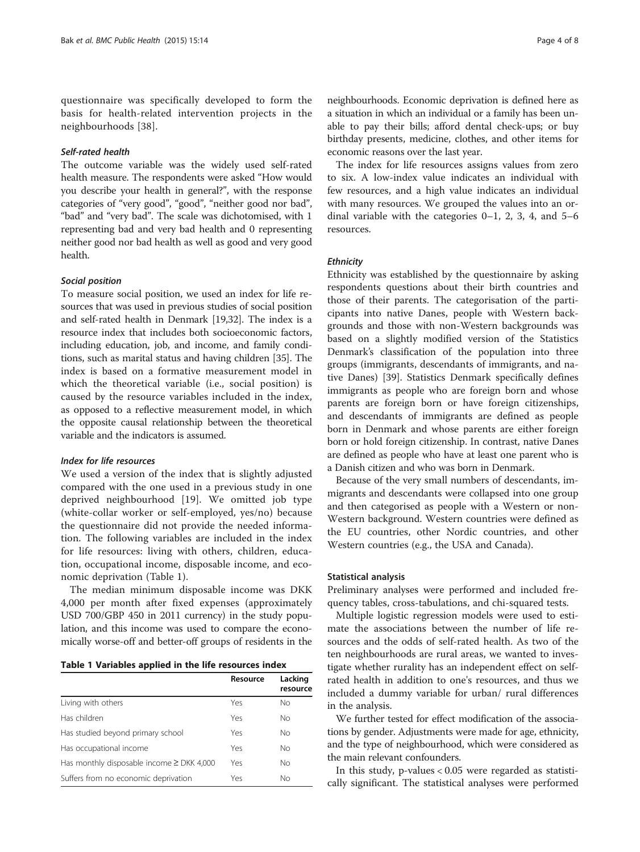questionnaire was specifically developed to form the basis for health-related intervention projects in the neighbourhoods [\[38](#page-7-0)].

#### Self-rated health

The outcome variable was the widely used self-rated health measure. The respondents were asked "How would you describe your health in general?", with the response categories of "very good", "good", "neither good nor bad", "bad" and "very bad". The scale was dichotomised, with 1 representing bad and very bad health and 0 representing neither good nor bad health as well as good and very good health.

#### Social position

To measure social position, we used an index for life resources that was used in previous studies of social position and self-rated health in Denmark [[19,32\]](#page-7-0). The index is a resource index that includes both socioeconomic factors, including education, job, and income, and family conditions, such as marital status and having children [[35\]](#page-7-0). The index is based on a formative measurement model in which the theoretical variable (i.e., social position) is caused by the resource variables included in the index, as opposed to a reflective measurement model, in which the opposite causal relationship between the theoretical variable and the indicators is assumed.

#### Index for life resources

We used a version of the index that is slightly adjusted compared with the one used in a previous study in one deprived neighbourhood [\[19](#page-7-0)]. We omitted job type (white-collar worker or self-employed, yes/no) because the questionnaire did not provide the needed information. The following variables are included in the index for life resources: living with others, children, education, occupational income, disposable income, and economic deprivation (Table 1).

The median minimum disposable income was DKK 4,000 per month after fixed expenses (approximately USD 700/GBP 450 in 2011 currency) in the study population, and this income was used to compare the economically worse-off and better-off groups of residents in the

|  |  |  |  |  |  |  | Table 1 Variables applied in the life resources index |  |
|--|--|--|--|--|--|--|-------------------------------------------------------|--|
|--|--|--|--|--|--|--|-------------------------------------------------------|--|

|                                                | Resource | Lacking<br>resource |
|------------------------------------------------|----------|---------------------|
| Living with others                             | Yes      | No                  |
| Has children                                   | Yes      | No                  |
| Has studied beyond primary school              | Yes      | No                  |
| Has occupational income                        | Yes      | No                  |
| Has monthly disposable income $\geq$ DKK 4,000 | Yes      | <b>No</b>           |
| Suffers from no economic deprivation           | Yes      | No                  |

neighbourhoods. Economic deprivation is defined here as a situation in which an individual or a family has been unable to pay their bills; afford dental check-ups; or buy birthday presents, medicine, clothes, and other items for economic reasons over the last year.

The index for life resources assigns values from zero to six. A low-index value indicates an individual with few resources, and a high value indicates an individual with many resources. We grouped the values into an ordinal variable with the categories  $0-1$ , 2, 3, 4, and  $5-6$ resources.

#### **Ethnicity**

Ethnicity was established by the questionnaire by asking respondents questions about their birth countries and those of their parents. The categorisation of the participants into native Danes, people with Western backgrounds and those with non-Western backgrounds was based on a slightly modified version of the Statistics Denmark's classification of the population into three groups (immigrants, descendants of immigrants, and native Danes) [\[39](#page-7-0)]. Statistics Denmark specifically defines immigrants as people who are foreign born and whose parents are foreign born or have foreign citizenships, and descendants of immigrants are defined as people born in Denmark and whose parents are either foreign born or hold foreign citizenship. In contrast, native Danes are defined as people who have at least one parent who is a Danish citizen and who was born in Denmark.

Because of the very small numbers of descendants, immigrants and descendants were collapsed into one group and then categorised as people with a Western or non-Western background. Western countries were defined as the EU countries, other Nordic countries, and other Western countries (e.g., the USA and Canada).

#### Statistical analysis

Preliminary analyses were performed and included frequency tables, cross-tabulations, and chi-squared tests.

Multiple logistic regression models were used to estimate the associations between the number of life resources and the odds of self-rated health. As two of the ten neighbourhoods are rural areas, we wanted to investigate whether rurality has an independent effect on selfrated health in addition to one's resources, and thus we included a dummy variable for urban/ rural differences in the analysis.

We further tested for effect modification of the associations by gender. Adjustments were made for age, ethnicity, and the type of neighbourhood, which were considered as the main relevant confounders.

In this study, p-values < 0.05 were regarded as statistically significant. The statistical analyses were performed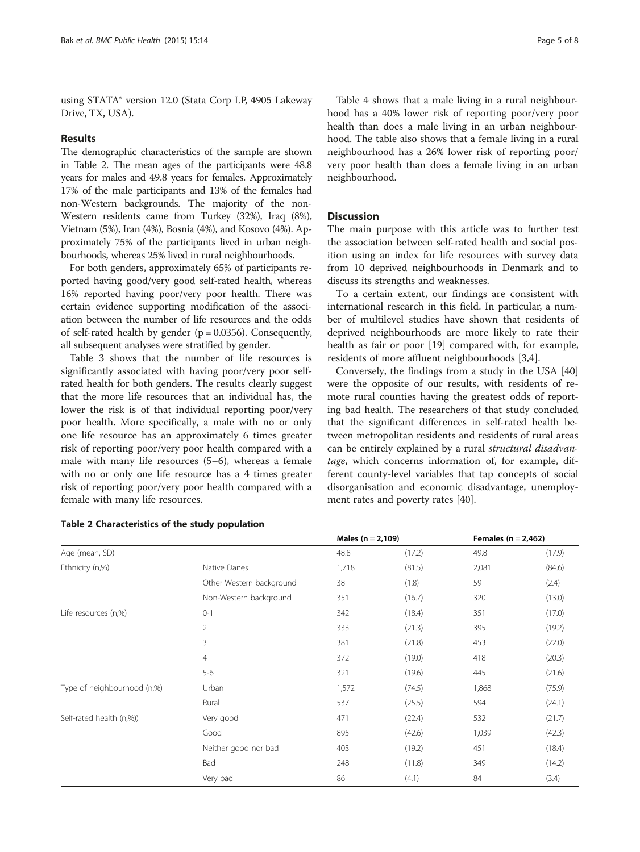using STATA® version 12.0 (Stata Corp LP, 4905 Lakeway Drive, TX, USA).

## Results

The demographic characteristics of the sample are shown in Table 2. The mean ages of the participants were 48.8 years for males and 49.8 years for females. Approximately 17% of the male participants and 13% of the females had non-Western backgrounds. The majority of the non-Western residents came from Turkey (32%), Iraq (8%), Vietnam (5%), Iran (4%), Bosnia (4%), and Kosovo (4%). Approximately 75% of the participants lived in urban neighbourhoods, whereas 25% lived in rural neighbourhoods.

For both genders, approximately 65% of participants reported having good/very good self-rated health, whereas 16% reported having poor/very poor health. There was certain evidence supporting modification of the association between the number of life resources and the odds of self-rated health by gender  $(p = 0.0356)$ . Consequently, all subsequent analyses were stratified by gender.

Table [3](#page-5-0) shows that the number of life resources is significantly associated with having poor/very poor selfrated health for both genders. The results clearly suggest that the more life resources that an individual has, the lower the risk is of that individual reporting poor/very poor health. More specifically, a male with no or only one life resource has an approximately 6 times greater risk of reporting poor/very poor health compared with a male with many life resources (5–6), whereas a female with no or only one life resource has a 4 times greater risk of reporting poor/very poor health compared with a female with many life resources.

Table [4](#page-5-0) shows that a male living in a rural neighbourhood has a 40% lower risk of reporting poor/very poor health than does a male living in an urban neighbourhood. The table also shows that a female living in a rural neighbourhood has a 26% lower risk of reporting poor/ very poor health than does a female living in an urban neighbourhood.

# **Discussion**

The main purpose with this article was to further test the association between self-rated health and social position using an index for life resources with survey data from 10 deprived neighbourhoods in Denmark and to discuss its strengths and weaknesses.

To a certain extent, our findings are consistent with international research in this field. In particular, a number of multilevel studies have shown that residents of deprived neighbourhoods are more likely to rate their health as fair or poor [[19\]](#page-7-0) compared with, for example, residents of more affluent neighbourhoods [[3,4\]](#page-6-0).

Conversely, the findings from a study in the USA [[40](#page-7-0)] were the opposite of our results, with residents of remote rural counties having the greatest odds of reporting bad health. The researchers of that study concluded that the significant differences in self-rated health between metropolitan residents and residents of rural areas can be entirely explained by a rural structural disadvantage, which concerns information of, for example, different county-level variables that tap concepts of social disorganisation and economic disadvantage, unemployment rates and poverty rates [\[40\]](#page-7-0).

|                             |                          | Males $(n = 2, 109)$ |        | Females ( $n = 2,462$ ) |        |
|-----------------------------|--------------------------|----------------------|--------|-------------------------|--------|
| Age (mean, SD)              |                          | 48.8                 | (17.2) | 49.8                    | (17.9) |
| Ethnicity (n,%)             | Native Danes             | 1,718                | (81.5) | 2,081                   | (84.6) |
|                             | Other Western background | 38                   | (1.8)  | 59                      | (2.4)  |
|                             | Non-Western background   | 351                  | (16.7) | 320                     | (13.0) |
| Life resources (n,%)        | $0 - 1$                  | 342                  | (18.4) | 351                     | (17.0) |
|                             | $\overline{2}$           | 333                  | (21.3) | 395                     | (19.2) |
|                             | 3                        | 381                  | (21.8) | 453                     | (22.0) |
|                             | $\overline{4}$           | 372                  | (19.0) | 418                     | (20.3) |
|                             | $5 - 6$                  | 321                  | (19.6) | 445                     | (21.6) |
| Type of neighbourhood (n,%) | Urban                    | 1,572                | (74.5) | 1,868                   | (75.9) |
|                             | Rural                    | 537                  | (25.5) | 594                     | (24.1) |
| Self-rated health (n,%))    | Very good                | 471                  | (22.4) | 532                     | (21.7) |
|                             | Good                     | 895                  | (42.6) | 1,039                   | (42.3) |
|                             | Neither good nor bad     | 403                  | (19.2) | 451                     | (18.4) |
|                             | Bad                      | 248                  | (11.8) | 349                     | (14.2) |
|                             | Very bad                 | 86                   | (4.1)  | 84                      | (3.4)  |

#### Table 2 Characteristics of the study population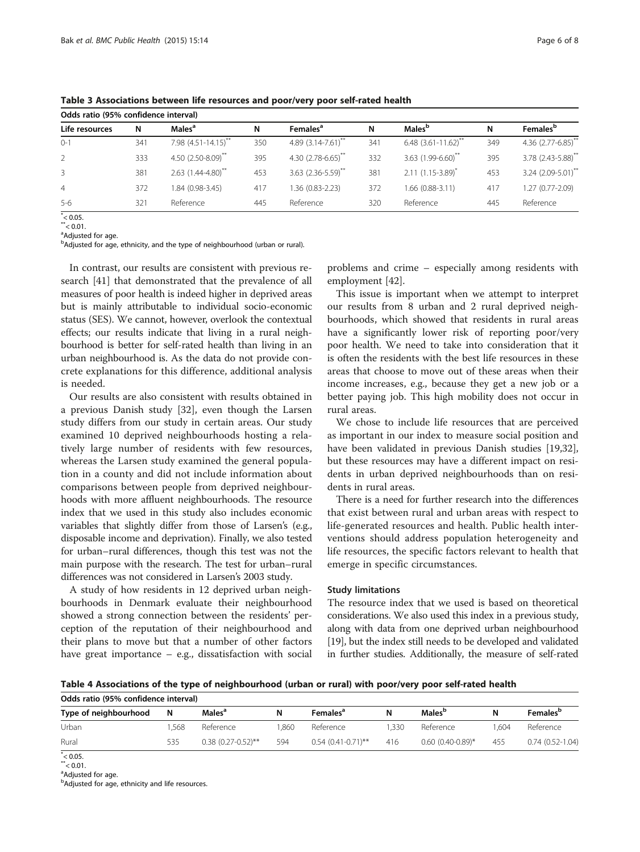| Odds ratio (95% confidence interval) |     |                             |     |                                  |     |                           |     |                                  |
|--------------------------------------|-----|-----------------------------|-----|----------------------------------|-----|---------------------------|-----|----------------------------------|
| Life resources                       | N   | Males <sup>a</sup>          | N   | Females <sup>a</sup>             | N   | Males <sup>b</sup>        | N   | <b>Females</b> <sup>b</sup>      |
| $0 - 1$                              | 341 | 7.98 $(4.51 - 14.15)^{**}$  | 350 | $4.89(3.14 - 7.61)^{n}$          | 341 | $6.48(3.61-11.62)^{n}$    | 349 | 4.36 (2.77-6.85)**               |
| 2                                    | 333 | 4.50 $(2.50 - 8.09)^{**}$   | 395 | $4.30(2.78-6.65)$                | 332 | 3.63 $(1.99 - 6.60)^{**}$ | 395 | 3.78 (2.43-5.88)**               |
| $\overline{3}$                       | 381 | $2.63$ $(1.44 - 4.80)^{**}$ | 453 | $3.63$ (2.36-5.59) <sup>**</sup> | 381 | $2.11(1.15-3.89)^{*}$     | 453 | $3.24$ (2.09-5.01) <sup>**</sup> |
| 4                                    | 372 | 1.84 (0.98-3.45)            | 417 | 1.36 (0.83-2.23)                 | 372 | 1.66 (0.88-3.11)          | 417 | 1.27 (0.77-2.09)                 |
| $5-6$                                | 321 | Reference                   | 445 | Reference                        | 320 | Reference                 | 445 | Reference                        |
|                                      |     |                             |     |                                  |     |                           |     |                                  |

<span id="page-5-0"></span>Table 3 Associations between life resources and poor/very poor self-rated health

 $^*$  < 0.05.

 $^*$  < 0.01.

<sup>a</sup>Adjusted for age.

<sup>b</sup>Adjusted for age, ethnicity, and the type of neighbourhood (urban or rural).

In contrast, our results are consistent with previous research [[41](#page-7-0)] that demonstrated that the prevalence of all measures of poor health is indeed higher in deprived areas but is mainly attributable to individual socio-economic status (SES). We cannot, however, overlook the contextual effects; our results indicate that living in a rural neighbourhood is better for self-rated health than living in an urban neighbourhood is. As the data do not provide concrete explanations for this difference, additional analysis is needed.

Our results are also consistent with results obtained in a previous Danish study [\[32](#page-7-0)], even though the Larsen study differs from our study in certain areas. Our study examined 10 deprived neighbourhoods hosting a relatively large number of residents with few resources, whereas the Larsen study examined the general population in a county and did not include information about comparisons between people from deprived neighbourhoods with more affluent neighbourhoods. The resource index that we used in this study also includes economic variables that slightly differ from those of Larsen's (e.g., disposable income and deprivation). Finally, we also tested for urban–rural differences, though this test was not the main purpose with the research. The test for urban–rural differences was not considered in Larsen's 2003 study.

A study of how residents in 12 deprived urban neighbourhoods in Denmark evaluate their neighbourhood showed a strong connection between the residents' perception of the reputation of their neighbourhood and their plans to move but that a number of other factors have great importance – e.g., dissatisfaction with social problems and crime – especially among residents with employment [[42\]](#page-7-0).

This issue is important when we attempt to interpret our results from 8 urban and 2 rural deprived neighbourhoods, which showed that residents in rural areas have a significantly lower risk of reporting poor/very poor health. We need to take into consideration that it is often the residents with the best life resources in these areas that choose to move out of these areas when their income increases, e.g., because they get a new job or a better paying job. This high mobility does not occur in rural areas.

We chose to include life resources that are perceived as important in our index to measure social position and have been validated in previous Danish studies [\[19,32](#page-7-0)], but these resources may have a different impact on residents in urban deprived neighbourhoods than on residents in rural areas.

There is a need for further research into the differences that exist between rural and urban areas with respect to life-generated resources and health. Public health interventions should address population heterogeneity and life resources, the specific factors relevant to health that emerge in specific circumstances.

## Study limitations

The resource index that we used is based on theoretical considerations. We also used this index in a previous study, along with data from one deprived urban neighbourhood [[19](#page-7-0)], but the index still needs to be developed and validated in further studies. Additionally, the measure of self-rated

Table 4 Associations of the type of neighbourhood (urban or rural) with poor/very poor self-rated health

| Odds ratio (95% confidence interval) |      |                      |      |                      |      |                     |      |                             |  |
|--------------------------------------|------|----------------------|------|----------------------|------|---------------------|------|-----------------------------|--|
| Type of neighbourhood                | N    | Males <sup>a</sup>   | N    | Females <sup>a</sup> | N    | Males <sup>p</sup>  |      | <b>Females</b> <sup>b</sup> |  |
| Urban                                | .568 | Reference            | .860 | Reference            | .330 | Reference           | .604 | Reference                   |  |
| Rural                                | 535  | $0.38(0.27-0.52)$ ** | 594  | $0.54(0.41-0.71)$ ** | 416  | $0.60(0.40-0.89)$ * | 455  | $0.74(0.52-1.04)$           |  |

\*< 0.05.<br>\*\*< 0.01.

<sup>a</sup>Adjusted for age.

<sup>b</sup>Adjusted for age, ethnicity and life resources.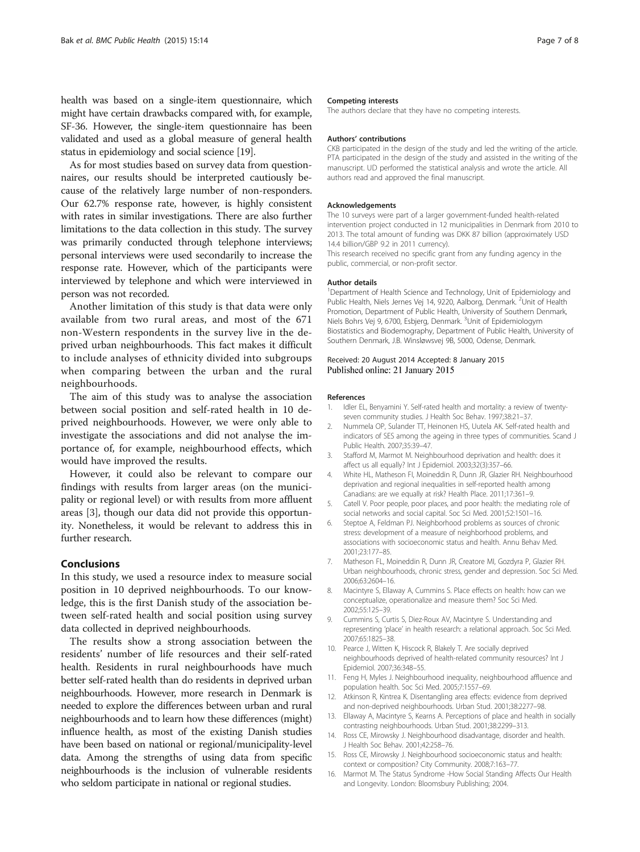<span id="page-6-0"></span>health was based on a single-item questionnaire, which might have certain drawbacks compared with, for example, SF-36. However, the single-item questionnaire has been validated and used as a global measure of general health status in epidemiology and social science [\[19\]](#page-7-0).

As for most studies based on survey data from questionnaires, our results should be interpreted cautiously because of the relatively large number of non-responders. Our 62.7% response rate, however, is highly consistent with rates in similar investigations. There are also further limitations to the data collection in this study. The survey was primarily conducted through telephone interviews; personal interviews were used secondarily to increase the response rate. However, which of the participants were interviewed by telephone and which were interviewed in person was not recorded.

Another limitation of this study is that data were only available from two rural areas, and most of the 671 non-Western respondents in the survey live in the deprived urban neighbourhoods. This fact makes it difficult to include analyses of ethnicity divided into subgroups when comparing between the urban and the rural neighbourhoods.

The aim of this study was to analyse the association between social position and self-rated health in 10 deprived neighbourhoods. However, we were only able to investigate the associations and did not analyse the importance of, for example, neighbourhood effects, which would have improved the results.

However, it could also be relevant to compare our findings with results from larger areas (on the municipality or regional level) or with results from more affluent areas [3], though our data did not provide this opportunity. Nonetheless, it would be relevant to address this in further research.

#### Conclusions

In this study, we used a resource index to measure social position in 10 deprived neighbourhoods. To our knowledge, this is the first Danish study of the association between self-rated health and social position using survey data collected in deprived neighbourhoods.

The results show a strong association between the residents' number of life resources and their self-rated health. Residents in rural neighbourhoods have much better self-rated health than do residents in deprived urban neighbourhoods. However, more research in Denmark is needed to explore the differences between urban and rural neighbourhoods and to learn how these differences (might) influence health, as most of the existing Danish studies have been based on national or regional/municipality-level data. Among the strengths of using data from specific neighbourhoods is the inclusion of vulnerable residents who seldom participate in national or regional studies.

#### Competing interests

The authors declare that they have no competing interests.

#### Authors' contributions

CKB participated in the design of the study and led the writing of the article. PTA participated in the design of the study and assisted in the writing of the manuscript. UD performed the statistical analysis and wrote the article. All authors read and approved the final manuscript.

#### Acknowledgements

The 10 surveys were part of a larger government-funded health-related intervention project conducted in 12 municipalities in Denmark from 2010 to 2013. The total amount of funding was DKK 87 billion (approximately USD 14.4 billion/GBP 9.2 in 2011 currency). This research received no specific grant from any funding agency in the public, commercial, or non-profit sector.

#### Author details

<sup>1</sup>Department of Health Science and Technology, Unit of Epidemiology and Public Health, Niels Jernes Vej 14, 9220, Aalborg, Denmark. <sup>2</sup>Unit of Health Promotion, Department of Public Health, University of Southern Denmark, Niels Bohrs Vej 9, 6700, Esbjerg, Denmark. <sup>3</sup>Unit of Epidemiologym Biostatistics and Biodemography, Department of Public Health, University of Southern Denmark, J.B. Winsløwsvej 9B, 5000, Odense, Denmark.

#### Received: 20 August 2014 Accepted: 8 January 2015 Published online: 21 January 2015

#### References

- 1. Idler EL, Benyamini Y. Self-rated health and mortality: a review of twentyseven community studies. J Health Soc Behav. 1997;38:21–37.
- 2. Nummela OP, Sulander TT, Heinonen HS, Uutela AK. Self-rated health and indicators of SES among the ageing in three types of communities. Scand J Public Health. 2007;35:39–47.
- 3. Stafford M, Marmot M. Neighbourhood deprivation and health: does it affect us all equally? Int J Epidemiol. 2003;32(3):357–66.
- 4. White HL, Matheson FI, Moineddin R, Dunn JR, Glazier RH. Neighbourhood deprivation and regional inequalities in self-reported health among Canadians: are we equally at risk? Health Place. 2011;17:361–9.
- 5. Catell V. Poor people, poor places, and poor health: the mediating role of social networks and social capital. Soc Sci Med. 2001;52:1501–16.
- 6. Steptoe A, Feldman PJ. Neighborhood problems as sources of chronic stress: development of a measure of neighborhood problems, and associations with socioeconomic status and health. Annu Behav Med. 2001;23:177–85.
- 7. Matheson FL, Moineddin R, Dunn JR, Creatore MI, Gozdyra P, Glazier RH. Urban neighbourhoods, chronic stress, gender and depression. Soc Sci Med. 2006;63:2604–16.
- 8. Macintyre S, Ellaway A, Cummins S. Place effects on health: how can we conceptualize, operationalize and measure them? Soc Sci Med. 2002;55:125–39.
- 9. Cummins S, Curtis S, Diez-Roux AV, Macintyre S. Understanding and representing 'place' in health research: a relational approach. Soc Sci Med. 2007;65:1825–38.
- 10. Pearce J, Witten K, Hiscock R, Blakely T. Are socially deprived neighbourhoods deprived of health-related community resources? Int J Epidemiol. 2007;36:348–55.
- 11. Feng H, Myles J. Neighbourhood inequality, neighbourhood affluence and population health. Soc Sci Med. 2005;7:1557–69.
- 12. Atkinson R, Kintrea K. Disentangling area effects: evidence from deprived and non-deprived neighbourhoods. Urban Stud. 2001;38:2277–98.
- 13. Ellaway A, Macintyre S, Kearns A. Perceptions of place and health in socially contrasting neighbourhoods. Urban Stud. 2001;38:2299–313.
- 14. Ross CE, Mirowsky J. Neighbourhood disadvantage, disorder and health. J Health Soc Behav. 2001;42:258–76.
- 15. Ross CE, Mirowsky J. Neighbourhood socioeconomic status and health: context or composition? City Community. 2008;7:163–77.
- 16. Marmot M. The Status Syndrome -How Social Standing Affects Our Health and Longevity. London: Bloomsbury Publishing; 2004.